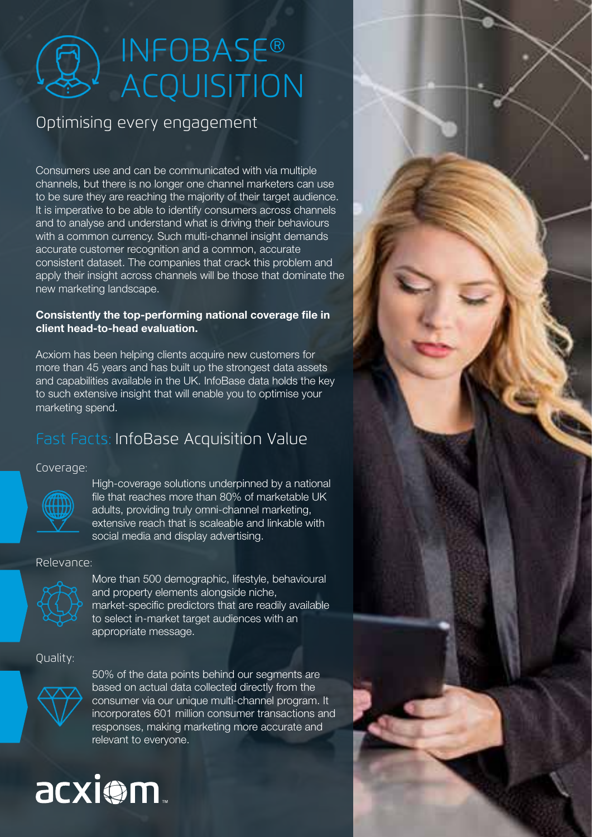# INFOBASE® ACQUISITION

## Optimising every engagement

Consumers use and can be communicated with via multiple channels, but there is no longer one channel marketers can use to be sure they are reaching the majority of their target audience. It is imperative to be able to identify consumers across channels and to analyse and understand what is driving their behaviours with a common currency. Such multi-channel insight demands accurate customer recognition and a common, accurate consistent dataset. The companies that crack this problem and apply their insight across channels will be those that dominate the new marketing landscape.

#### **Consistently the top-performing national coverage file in client head-to-head evaluation.**

Acxiom has been helping clients acquire new customers for more than 45 years and has built up the strongest data assets and capabilities available in the UK. InfoBase data holds the key to such extensive insight that will enable you to optimise your marketing spend.

# Fast Facts: InfoBase Acquisition Value

Coverage:



High-coverage solutions underpinned by a national file that reaches more than 80% of marketable UK adults, providing truly omni-channel marketing, extensive reach that is scaleable and linkable with social media and display advertising.

### Relevance:



More than 500 demographic, lifestyle, behavioural and property elements alongside niche, market-specific predictors that are readily available to select in-market target audiences with an appropriate message.

Quality:



50% of the data points behind our segments are based on actual data collected directly from the consumer via our unique multi-channel program. It incorporates 601 million consumer transactions and responses, making marketing more accurate and relevant to everyone.